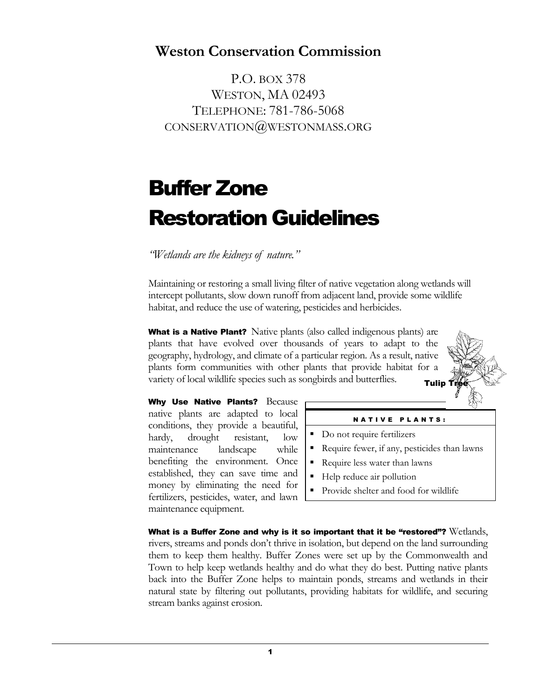# **Weston Conservation Commission**

P.O. BOX 378 WESTON, MA 02493 TELEPHONE: 781-786-5068 CONSERVATION@WESTONMASS.ORG

# Buffer Zone Restoration Guidelines

*"Wetlands are the kidneys of nature."*

Maintaining or restoring a small living filter of native vegetation along wetlands will intercept pollutants, slow down runoff from adjacent land, provide some wildlife habitat, and reduce the use of watering, pesticides and herbicides.

What is a Native Plant? Native plants (also called indigenous plants) are plants that have evolved over thousands of years to adapt to the geography, hydrology, and climate of a particular region. As a result, native plants form communities with other plants that provide habitat for a variety of local wildlife species such as songbirds and butterflies. **Tulip** 

Why Use Native Plants? Because native plants are adapted to local conditions, they provide a beautiful, hardy, drought resistant, low maintenance landscape while benefiting the environment. Once established, they can save time and money by eliminating the need for fertilizers, pesticides, water, and lawn maintenance equipment.



#### **NATIVE PLANTS:**

- Do not require fertilizers
- Require fewer, if any, pesticides than lawns
- Require less water than lawns
- Help reduce air pollution
- Provide shelter and food for wildlife

What is a Buffer Zone and why is it so important that it be "restored"? Wetlands, rivers, streams and ponds don't thrive in isolation, but depend on the land surrounding them to keep them healthy. Buffer Zones were set up by the Commonwealth and Town to help keep wetlands healthy and do what they do best. Putting native plants back into the Buffer Zone helps to maintain ponds, streams and wetlands in their natural state by filtering out pollutants, providing habitats for wildlife, and securing stream banks against erosion.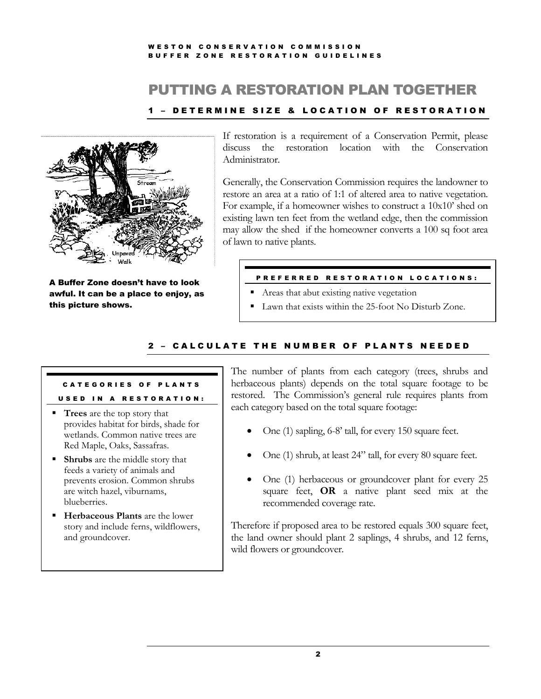#### WE STON CONSERVATION COMMISSION BUFFER ZONE RESTORATION GUIDELINES

# PUTTING A RESTORATION PLAN TOGETHER

### 1 - DETERMINE SIZE & LOCATION OF RESTORATION



A Buffer Zone doesn't have to look awful. It can be a place to enjoy, as this picture shows.

If restoration is a requirement of a Conservation Permit, please discuss the restoration location with the Conservation Administrator.

Generally, the Conservation Commission requires the landowner to restore an area at a ratio of 1:1 of altered area to native vegetation. For example, if a homeowner wishes to construct a 10x10' shed on existing lawn ten feet from the wetland edge, then the commission may allow the shed if the homeowner converts a 100 sq foot area of lawn to native plants.

#### PREFERRED RESTORATION LOCATIONS:

- Areas that abut existing native vegetation
- Lawn that exists within the 25-foot No Disturb Zone.

### 2 - CALCULATE THE NUMBER OF PLANTS NEEDED

### CATEGORIES OF PLANTS USED IN A RESTORATION:

- **Trees** are the top story that provides habitat for birds, shade for wetlands. Common native trees are Red Maple, Oaks, Sassafras.
- **Shrubs** are the middle story that feeds a variety of animals and prevents erosion. Common shrubs are witch hazel, viburnams, blueberries.
- **EXECUTE:** Herbaceous Plants are the lower story and include ferns, wildflowers, and groundcover.

The number of plants from each category (trees, shrubs and herbaceous plants) depends on the total square footage to be restored. The Commission's general rule requires plants from each category based on the total square footage:

- One (1) sapling, 6-8' tall, for every 150 square feet.
- One (1) shrub, at least 24" tall, for every 80 square feet.
- One (1) herbaceous or groundcover plant for every 25 square feet, **OR** a native plant seed mix at the recommended coverage rate.

Therefore if proposed area to be restored equals 300 square feet, the land owner should plant 2 saplings, 4 shrubs, and 12 ferns, wild flowers or groundcover.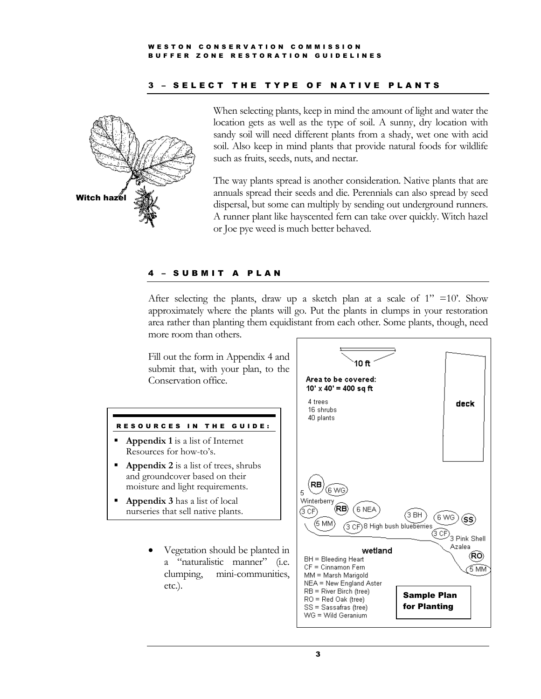#### WESTON CONSERVATION COMMISSION BUFFER ZONE RESTORATION GUIDELINES

#### 3 - SELECT THE TYPE OF NATIVE PLANTS



When selecting plants, keep in mind the amount of light and water the location gets as well as the type of soil. A sunny, dry location with sandy soil will need different plants from a shady, wet one with acid soil. Also keep in mind plants that provide natural foods for wildlife such as fruits, seeds, nuts, and nectar.

The way plants spread is another consideration. Native plants that are annuals spread their seeds and die. Perennials can also spread by seed dispersal, but some can multiply by sending out underground runners. A runner plant like hayscented fern can take over quickly. Witch hazel or Joe pye weed is much better behaved.

#### SUBMIT A PLAN

After selecting the plants, draw up a sketch plan at a scale of  $1'' = 10'$ . Show approximately where the plants will go. Put the plants in clumps in your restoration area rather than planting them equidistant from each other. Some plants, though, need more room than others.

Fill out the form in Appendix 4 and submit that, with your plan, to the Conservation office.

#### RESOURCES IN THE GUIDE:

- **Appendix 1** is a list of Internet Resources for how-to's.
- **Appendix 2** is a list of trees, shrubs and groundcover based on their moisture and light requirements.
- Appendix 3 has a list of local nurseries that sell native plants.
	- Vegetation should be planted in a "naturalistic manner" (i.e. clumping, mini-communities, etc.).

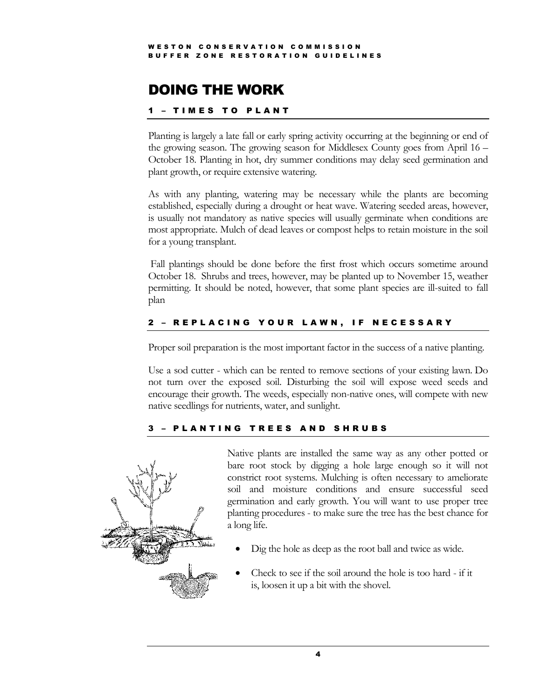# DOING THE WORK

### **- TIMES TO PLANT**

Planting is largely a late fall or early spring activity occurring at the beginning or end of the growing season. The growing season for Middlesex County goes from April 16 – October 18. Planting in hot, dry summer conditions may delay seed germination and plant growth, or require extensive watering.

As with any planting, watering may be necessary while the plants are becoming established, especially during a drought or heat wave. Watering seeded areas, however, is usually not mandatory as native species will usually germinate when conditions are most appropriate. Mulch of dead leaves or compost helps to retain moisture in the soil for a young transplant.

Fall plantings should be done before the first frost which occurs sometime around October 18. Shrubs and trees, however, may be planted up to November 15, weather permitting. It should be noted, however, that some plant species are ill-suited to fall plan

### 2 - REPLACING YOUR LAWN, IF NECESSARY

Proper soil preparation is the most important factor in the success of a native planting.

Use a sod cutter - which can be rented to remove sections of your existing lawn. Do not turn over the exposed soil. Disturbing the soil will expose weed seeds and encourage their growth. The weeds, especially non-native ones, will compete with new native seedlings for nutrients, water, and sunlight.

### PLANTING TREES AND SHRUBS



Native plants are installed the same way as any other potted or bare root stock by digging a hole large enough so it will not constrict root systems. Mulching is often necessary to ameliorate soil and moisture conditions and ensure successful seed germination and early growth. You will want to use proper tree planting procedures - to make sure the tree has the best chance for a long life.

- Dig the hole as deep as the root ball and twice as wide.
- Check to see if the soil around the hole is too hard if it is, loosen it up a bit with the shovel.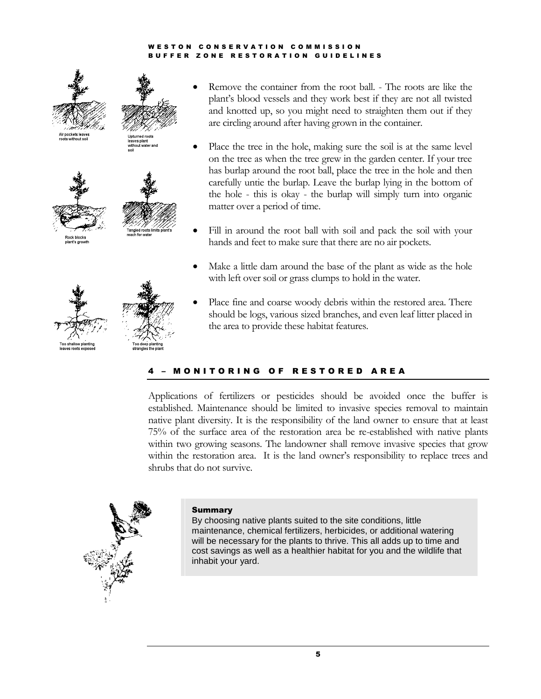#### W E S T O N C O N S E R V A T I O N C O M M I S S I O N B U F F E R Z O N E R E S T O R A T I O N G U I D E L I N E S



- Remove the container from the root ball. The roots are like the plant's blood vessels and they work best if they are not all twisted and knotted up, so you might need to straighten them out if they are circling around after having grown in the container.
- Place the tree in the hole, making sure the soil is at the same level on the tree as when the tree grew in the garden center. If your tree has burlap around the root ball, place the tree in the hole and then carefully untie the burlap. Leave the burlap lying in the bottom of the hole - this is okay - the burlap will simply turn into organic matter over a period of time.
- Fill in around the root ball with soil and pack the soil with your hands and feet to make sure that there are no air pockets.
- Make a little dam around the base of the plant as wide as the hole with left over soil or grass clumps to hold in the water.
- Place fine and coarse woody debris within the restored area. There should be logs, various sized branches, and even leaf litter placed in the area to provide these habitat features.

### **MONITORING OF RESTORED AREA**

Applications of fertilizers or pesticides should be avoided once the buffer is established. Maintenance should be limited to invasive species removal to maintain native plant diversity. It is the responsibility of the land owner to ensure that at least 75% of the surface area of the restoration area be re-established with native plants within two growing seasons. The landowner shall remove invasive species that grow within the restoration area. It is the land owner's responsibility to replace trees and shrubs that do not survive.



#### **Summary**

By choosing native plants suited to the site conditions, little maintenance, chemical fertilizers, herbicides, or additional watering will be necessary for the plants to thrive. This all adds up to time and cost savings as well as a healthier habitat for you and the wildlife that inhabit your yard.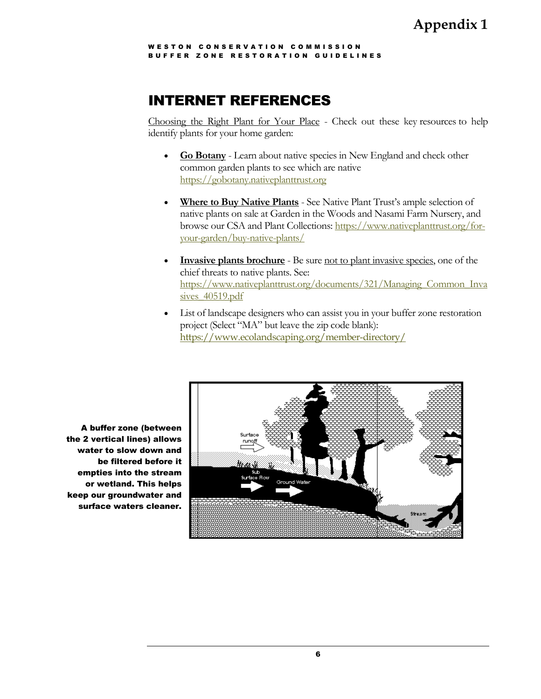WESTON CONSERVATION COMMISSION BUFFER ZONE RESTORATION GUIDELINES

# INTERNET REFERENCES

Choosing the Right Plant for Your Place - Check out these key [resources](http://www.newenglandwild.org/resources/conservation-news.html) to help identify plants for your home garden:

- **[Go Botany](http://www.newenglandwild.org/gobotany)** Learn about native species in New England and check other common garden plants to see which are native [https://gobotany.nativeplanttrust.org](https://gobotany.nativeplanttrust.org/)
- Where to Buy Native Plants See Native Plant Trust's ample selection of native plants on sale at Garden in the Woods and Nasami Farm Nursery, and browse our CSA and Plant Collections: [https://www.nativeplanttrust.org/for](https://www.nativeplanttrust.org/for-your-garden/buy-native-plants/)[your-garden/buy-native-plants/](https://www.nativeplanttrust.org/for-your-garden/buy-native-plants/)
- **[Invasive plants brochure](http://www.newenglandwild.org/resources/conservation-news.html)** Be sure not to plant [invasive species,](http://www.newenglandwild.org/conserve/controlling-invasives-orig/index) one of the chief threats to native plants. See: [https://www.nativeplanttrust.org/documents/321/Managing\\_Common\\_Inva](https://www.nativeplanttrust.org/documents/321/Managing_Common_Invasives_40519.pdf) sives 40519.pdf
- List of landscape designers who can assist you in your buffer zone restoration project (Select "MA" but leave the zip code blank): <https://www.ecolandscaping.org/member-directory/>



A buffer zone (between the 2 vertical lines) allows water to slow down and be filtered before it empties into the stream or wetland. This helps keep our groundwater and surface waters cleaner.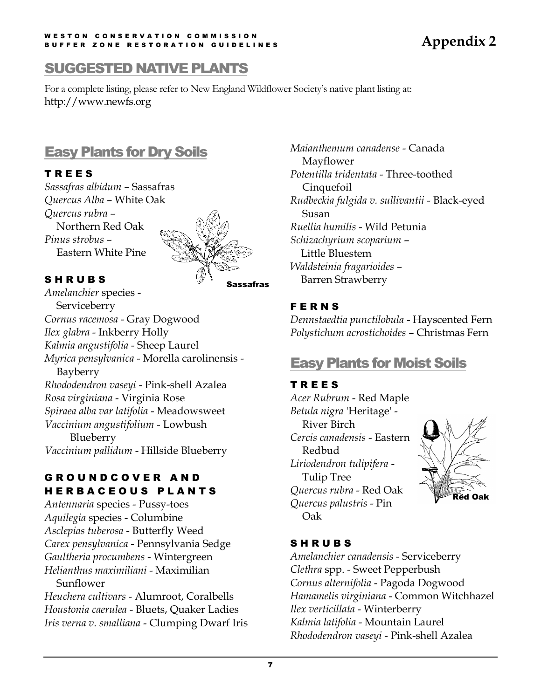#### WESTON CONSERVATION COMMISSION B U F F E R ZO N E R E S T O R A T I O N G U I D E L I N E S

# **Appendix 2**

# SUGGESTED NATIVE PLANTS

For a complete listing, please refer to New England Wildflower Society's native plant listing at: http://www.newfs.org

# Easy Plants for Dry Soils

### T R E E S

*Sassafras albidum* – Sassafras *Quercus Alba* – White Oak *Quercus rubra* – Northern Red Oak *Pinus strobus* – Eastern White Pine



### S H R U B S

Sassafras

*Amelanchier* species - **Serviceberry** *Cornus racemosa* - Gray Dogwood *Ilex glabra* - Inkberry Holly *Kalmia angustifolia* - Sheep Laurel *Myrica pensylvanica* - Morella carolinensis - Bayberry *Rhododendron vaseyi* - Pink-shell Azalea *Rosa virginiana* - Virginia Rose *Spiraea alba var latifolia* - Meadowsweet *Vaccinium angustifolium* - Lowbush Blueberry *Vaccinium pallidum* - Hillside Blueberry

### G R O U N D C O V E R A N D H E R B A C E O U S P L A N T S

*Antennaria* species - Pussy-toes *Aquilegia* species - Columbine *Asclepias tuberosa* - Butterfly Weed *Carex pensylvanica* - Pennsylvania Sedge *Gaultheria procumbens* - Wintergreen *Helianthus maximiliani* - Maximilian Sunflower

*Heuchera cultivars* - Alumroot, Coralbells *Houstonia caerulea* - Bluets, Quaker Ladies *Iris verna v. smalliana* - Clumping Dwarf Iris *Maianthemum canadense* - Canada Mayflower *Potentilla tridentata* - Three-toothed Cinquefoil *Rudbeckia fulgida v. sullivantii* - Black-eyed Susan *Ruellia humilis* - Wild Petunia *Schizachyrium scoparium* – Little Bluestem *Waldsteinia fragarioides* – Barren Strawberry

### **FERNS**

*Dennstaedtia punctilobula* - Hayscented Fern *Polystichum acrostichoides* – Christmas Fern

# Easy Plants for Moist Soils

### T R E E S

*Acer Rubrum* - Red Maple *Betula nigra* 'Heritage' - River Birch *Cercis canadensis* - Eastern Redbud *Liriodendron tulipifera* - Tulip Tree *Quercus rubra* - Red Oak *Quercus palustris* - Pin Oak



# S H R U B S

*Amelanchier canadensis* - Serviceberry *Clethra* spp. - Sweet Pepperbush *Cornus alternifolia* - Pagoda Dogwood *Hamamelis virginiana* - Common Witchhazel *Ilex verticillata* - Winterberry *Kalmia latifolia* - Mountain Laurel *Rhododendron vaseyi* - Pink-shell Azalea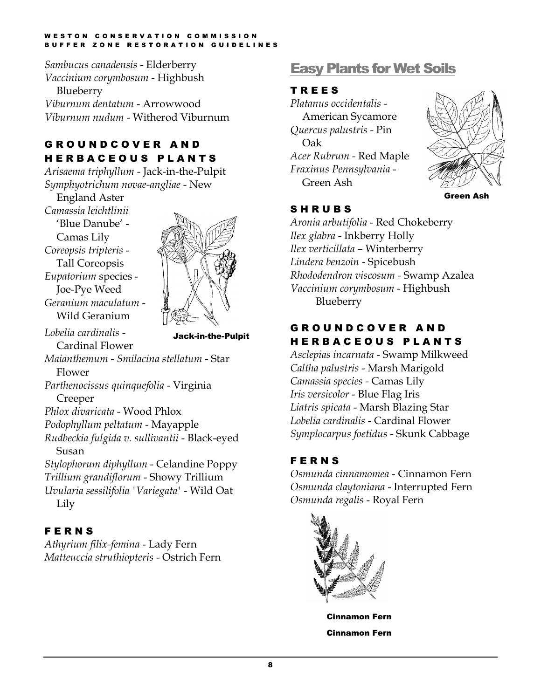#### WE STON CONSERVATION COMMISSION B U F F E R ZO N E R E S T O R A T I O N G U I D E L I N E S

*Sambucus canadensis* - Elderberry *Vaccinium corymbosum* - Highbush Blueberry *Viburnum dentatum* - Arrowwood *Viburnum nudum* - Witherod Viburnum

# G R O U N D C O V E R A N D H E R B A C E O U S P L A N T S

*Arisaema triphyllum* - Jack-in-the-Pulpit *Symphyotrichum novae-angliae* - New

England Aster

*Camassia leichtlinii* 'Blue Danube' - Camas Lily *Coreopsis tripteris* - Tall Coreopsis *Eupatorium* species - Joe-Pye Weed *Geranium maculatum* - Wild Geranium



*Lobelia cardinalis* -

Cardinal Flower

Jack-in-the-Pulpit

*Maianthemum - Smilacina stellatum* - Star Flower

*Parthenocissus quinquefolia* - Virginia Creeper

*Phlox divaricata* - Wood Phlox

*Podophyllum peltatum* - Mayapple

*Rudbeckia fulgida v. sullivantii* - Black-eyed Susan

*Stylophorum diphyllum* - Celandine Poppy *Trillium grandiflorum* - Showy Trillium *Uvularia sessilifolia 'Variegata'* - Wild Oat Lily

# **FERNS**

*Athyrium filix-femina* - Lady Fern *Matteuccia struthiopteris* - Ostrich Fern

# Easy Plants for Wet Soils

### T R E E S

*Platanus occidentalis* - American Sycamore *Quercus palustris -* Pin Oak *Acer Rubrum -* Red Maple *Fraxinus Pennsylvania* - Green Ash



### **SHRUBS**

*Aronia arbutifolia* - Red Chokeberry *Ilex glabra* - Inkberry Holly *Ilex verticillata* – Winterberry *Lindera benzoin* - Spicebush *Rhododendron viscosum -* Swamp Azalea *Vaccinium corymbosum* - Highbush Blueberry

### G R O U N D C O V E R A N D H E R B A C E O U S P L A N T S

*Asclepias incarnata* - Swamp Milkweed *Caltha palustris* - Marsh Marigold *Camassia species -* Camas Lily *Iris versicolor* - Blue Flag Iris *Liatris spicata* - Marsh Blazing Star *Lobelia cardinalis* - Cardinal Flower *Symplocarpus foetidus* - Skunk Cabbage

# **FERNS**

*Osmunda cinnamomea -* Cinnamon Fern *Osmunda claytoniana* - Interrupted Fern *Osmunda regalis* - Royal Fern



Cinnamon Fern Cinnamon Fern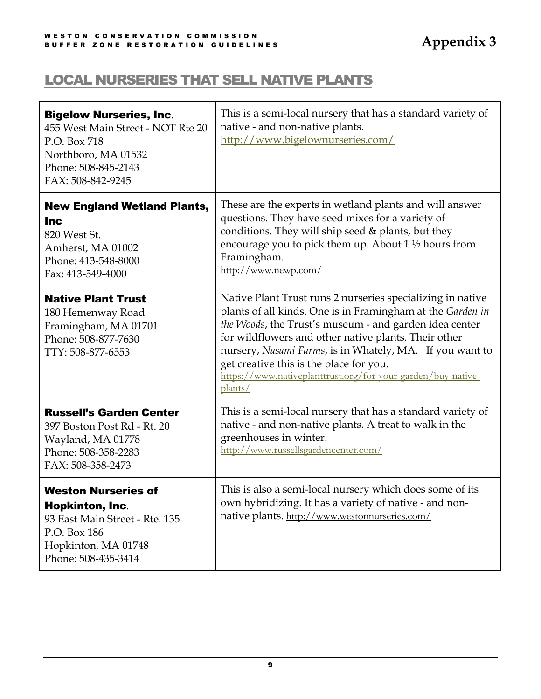# LOCAL NURSERIES THAT SELL NATIVE PLANTS

| <b>Bigelow Nurseries, Inc.</b><br>455 West Main Street - NOT Rte 20<br>P.O. Box 718<br>Northboro, MA 01532<br>Phone: 508-845-2143<br>FAX: 508-842-9245 | This is a semi-local nursery that has a standard variety of<br>native - and non-native plants.<br>http://www.bigelownurseries.com/                                                                                                                                                                                                                                                                                           |  |
|--------------------------------------------------------------------------------------------------------------------------------------------------------|------------------------------------------------------------------------------------------------------------------------------------------------------------------------------------------------------------------------------------------------------------------------------------------------------------------------------------------------------------------------------------------------------------------------------|--|
| <b>New England Wetland Plants,</b><br><b>Inc</b><br>820 West St.<br>Amherst, MA 01002<br>Phone: 413-548-8000<br>Fax: 413-549-4000                      | These are the experts in wetland plants and will answer<br>questions. They have seed mixes for a variety of<br>conditions. They will ship seed & plants, but they<br>encourage you to pick them up. About $1\frac{1}{2}$ hours from<br>Framingham.<br>http://www.newp.com/                                                                                                                                                   |  |
| <b>Native Plant Trust</b><br>180 Hemenway Road<br>Framingham, MA 01701<br>Phone: 508-877-7630<br>TTY: 508-877-6553                                     | Native Plant Trust runs 2 nurseries specializing in native<br>plants of all kinds. One is in Framingham at the Garden in<br>the Woods, the Trust's museum - and garden idea center<br>for wildflowers and other native plants. Their other<br>nursery, Nasami Farms, is in Whately, MA. If you want to<br>get creative this is the place for you.<br>https://www.nativeplanttrust.org/for-your-garden/buy-native-<br>plants/ |  |
| <b>Russell's Garden Center</b><br>397 Boston Post Rd - Rt. 20<br>Wayland, MA 01778<br>Phone: 508-358-2283<br>FAX: 508-358-2473                         | This is a semi-local nursery that has a standard variety of<br>native - and non-native plants. A treat to walk in the<br>greenhouses in winter.<br>http://www.russellsgardencenter.com/                                                                                                                                                                                                                                      |  |
| <b>Weston Nurseries of</b><br><b>Hopkinton, Inc.</b><br>93 East Main Street - Rte. 135<br>P.O. Box 186<br>Hopkinton, MA 01748<br>Phone: 508-435-3414   | This is also a semi-local nursery which does some of its<br>own hybridizing. It has a variety of native - and non-<br>native plants. http://www.westonnurseries.com/                                                                                                                                                                                                                                                         |  |